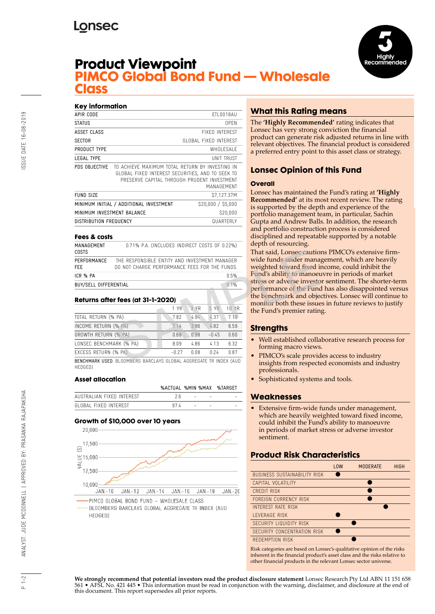# **Lonsec**



# **Product Viewpoint PIMCO Global Bond Fund — Wholesale Class**

#### **Key information**

| APIR CODE                     |                                                                                                                                                                  | FTI 0018AU            |  |
|-------------------------------|------------------------------------------------------------------------------------------------------------------------------------------------------------------|-----------------------|--|
| <b>STATUS</b>                 |                                                                                                                                                                  | 0PFN                  |  |
| ASSET CLASS                   |                                                                                                                                                                  | <b>FIXED INTEREST</b> |  |
| <b>SECTOR</b>                 |                                                                                                                                                                  | GLOBAL FIXED INTEREST |  |
| PRODUCT TYPE                  |                                                                                                                                                                  | WHOI FSAI F           |  |
| LEGAL TYPE                    | UNIT TRUST                                                                                                                                                       |                       |  |
| PDS OBJECTIVE                 | TO ACHIEVE MAXIMUM TOTAL RETURN BY INVESTING IN<br>GLOBAL FIXED INTEREST SECURITIES, AND TO SEEK TO<br>PRESERVE CAPITAL THROUGH PRUDENT INVESTMENT<br>MANAGFMFNT |                       |  |
| <b>FUND SIZE</b>              |                                                                                                                                                                  | \$7,127.37M           |  |
|                               | MINIMUM INITIAL / ADDITIONAL INVESTMENT                                                                                                                          | \$20,000 / \$5,000    |  |
| MINIMUM INVESTMENT BALANCE    |                                                                                                                                                                  | \$20,000              |  |
| <b>DISTRIBUTION FREQUENCY</b> |                                                                                                                                                                  | <b>QUARTERIY</b>      |  |
|                               |                                                                                                                                                                  |                       |  |

#### **Fees & costs**

MANAGEMENT COSTS 0.71% P.A. (INCLUDES INDIRECT COSTS OF 0.22%) **PERFORMANCE** THE RESPONSIBLE ENTITY AND INVESTMENT MANAGER

#### **Returns after fees (at 31-1-2020)**

| COSTS                     |                                                                                                |         |      |         |                                                  | That said, Lonsec cautio                                                                                   |
|---------------------------|------------------------------------------------------------------------------------------------|---------|------|---------|--------------------------------------------------|------------------------------------------------------------------------------------------------------------|
| PERFORMANCE<br><b>FEE</b> | THE RESPONSIBLE ENTITY AND INVESTMENT MANAGER<br>DO NOT CHARGE PERFORMANCE FEES FOR THE FUNDS. |         |      |         | wide funds under mana<br>weighted toward fixed i |                                                                                                            |
| ICR % PA                  |                                                                                                |         |      |         | 0.5%                                             | Fund's ability to manoer                                                                                   |
| BUY/SELL DIFFERENTIAL     | Returns after fees (at 31-1-2020)                                                              |         |      |         | 0.1%                                             | stress or adverse investo<br>performance of the Fund<br>the benchmark and obje<br>monitor both these issue |
|                           |                                                                                                | 1 YR    | 3 YR | 5 YR    | 10 YR                                            | the Fund's premier ratin                                                                                   |
| TOTAL RETURN (% PA)       |                                                                                                | 7.82    | 4.94 | 4.37    | 7.19                                             |                                                                                                            |
| INCOME RETURN (% PA)      |                                                                                                | 7.14    | 3.96 | 4.82    | 6.59                                             | <b>Strengths</b>                                                                                           |
| GROWTH RETURN (% PA)      |                                                                                                | 0.68    | 0.98 | $-0.45$ | 0.60                                             |                                                                                                            |
| LONSEC BENCHMARK (% PA)   |                                                                                                | 8.09    | 4.86 | 4.13    | 6.32                                             | • Well established colla<br>forming macro views                                                            |
| EXCESS RETURN (% PA)      |                                                                                                | $-0.27$ | 0.08 | 0.74    | 0.87                                             | • PIMCO's scale provid                                                                                     |
|                           | BENCHMARK USED: BLOOMBERG BARCLAYS GLOBAL AGGREGATE TR INDEX (AUD                              |         |      |         |                                                  | inciple from recreat                                                                                       |

BENCHMARK USED: BLOOMBERG BARCLAYS GLOBAL AGGREGATE TR INDEX (AUD HEDGED)

### **Asset allocation**

|                           |      |                                      | %ACTUAL %MIN %MAX %TARGET                |
|---------------------------|------|--------------------------------------|------------------------------------------|
| AUSTRALIAN FIXED INTEREST | - 26 |                                      | the second company of the second company |
| GLOBAL FIXED INTEREST     | 97 4 | the company's state of the company's |                                          |

## **Growth of \$10,000 over 10 years**



BLOOMBERG BARCLAYS GLOBAL AGGREGATE TR INDEX (AUD HFDGFD)

## **What this Rating means**

The **'Highly Recommended'** rating indicates that Lonsec has very strong conviction the financial product can generate risk adjusted returns in line with relevant objectives. The financial product is considered a preferred entry point to this asset class or strategy.

## **Lonsec Opinion of this Fund**

### **Overall**

Lonsec has maintained the Fund's rating at **'Highly Recommended'** at its most recent review. The rating is supported by the depth and experience of the portfolio management team, in particular, Sachin Gupta and Andrew Balls. In addition, the research and portfolio construction process is considered disciplined and repeatable supported by a notable depth of resourcing.

That said, Lonsec cautions PIMCO's extensive firmwide funds under management, which are heavily weighted toward fixed income, could inhibit the Fund's ability to manoeuvre in periods of market stress or adverse investor sentiment. The shorter-term performance of the Fund has also disappointed versus the benchmark and objectives. Lonsec will continue to monitor both these issues in future reviews to justify the Fund's premier rating.

## **Strengths**

- Well established collaborative research process for forming macro views.
- PIMCO's scale provides access to industry insights from respected economists and industry professionals.
- Sophisticated systems and tools.

## **Weaknesses**

Extensive firm-wide funds under management, which are heavily weighted toward fixed income, could inhibit the Fund's ability to manoeuvre in periods of market stress or adverse investor sentiment.

## **Product Risk Characteristics**

|                                     | <b>LOW</b> | <b>MODERATE</b> | <b>HIGH</b> |
|-------------------------------------|------------|-----------------|-------------|
| <b>BUSINESS SUSTAINABILITY RISK</b> |            |                 |             |
| CAPITAL VOLATILITY                  |            |                 |             |
| <b>CREDIT RISK</b>                  |            |                 |             |
| FORFIGN CURRENCY RISK               |            |                 |             |
| <b>INTEREST RATE RISK</b>           |            |                 |             |
| <b>I FVFRAGF RISK</b>               |            |                 |             |
| SECURITY LIQUIDITY RISK             |            |                 |             |
| SECURITY CONCENTRATION RISK         |            |                 |             |
| REDEMPTION RISK                     |            |                 |             |

Risk categories are based on Lonsec's qualitative opinion of the risks inherent in the financial product's asset class and the risks relative to other financial products in the relevant Lonsec sector universe.